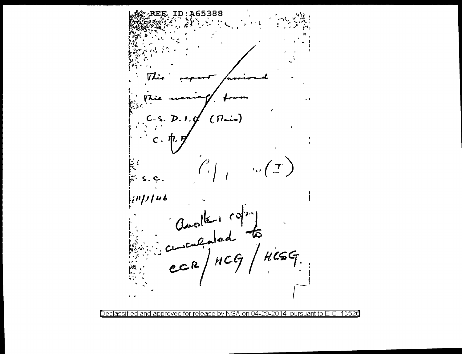A65388  $(7 - )$  $D.1$  $\boldsymbol{\tau}$  $\mathbf{r}_{\mathrm{max}}$  $14b$ , יו ; ן Charles copy<br>charled to Ŵ  $\mathbf{r}$ 

Declassified and approved for release by NSA on 04-29-2014 pursuant to E.O. 13526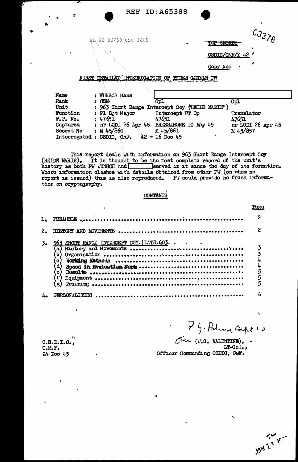| Ą, |                                                                                |                                                                                                                                                                                                                            | <b>REF ID: A65388</b>    |                                                 |                                                             |
|----|--------------------------------------------------------------------------------|----------------------------------------------------------------------------------------------------------------------------------------------------------------------------------------------------------------------------|--------------------------|-------------------------------------------------|-------------------------------------------------------------|
|    | $\mathbf{r}$                                                                   | PL 86-36/50 USC 3605<br>FIRST DETAILED INTERROGATION OF THREE GERMAN PW                                                                                                                                                    |                          | <b>MOP SECRET</b><br>CSDIO/CAF/Y 42<br>Copy No: | $\dot{c}$ 3378<br>71<br>$\pmb{r}$                           |
|    | Name<br>Rank<br>Unit<br>Function<br>$F.P.$ No.<br><b>Captured</b><br>Secret No | : WUNSCH Hans<br>105M<br>: 963 Short Range Intercept Coy (HEIDE MARIE")<br>: Pl Sjt Major Intercept WT Op<br>: 47651<br>: nr LODI 26 Apr 45 BRUSSANONE 10 May 45<br>: M45/860<br>Interrogated : CSDIC, CMF. 12 - 16 Dec 45 | Cp1<br>47651<br>M 45/861 |                                                 | Cpl<br>Translator<br>47651<br>nr LODI 26 Apr 45<br>M 45/857 |

This report deals with information on 963 Short Range Intercept Coy (HEIDE MARIE). It is thought to be the most complete record of the unit's history as both PW WUNSCH and sarved in it since the day of its formation. Where information clashes with details obtained from other PW (on whom no report is issued) this is also reproduced. PH could provide no fresh information on cryptography.

#### CONTENTS

| PREAIBLE expresses as a consequence of the contract of the contract of the PREAIBLE expresses are a set of the | $\mathbf{Z}$ |
|----------------------------------------------------------------------------------------------------------------|--------------|
|                                                                                                                |              |
| 963 SHORT RANGE INTERCEPT COY. (LATE. 603.<br>ď<br>G<br>ď<br>$\mathbf{o}$                                      |              |
| <b>PERSONALITIES</b>                                                                                           |              |

À

 $0.5.D. I.0.$  $O.M.F.$ 24 Doo 45

 $\mathbf{I}$ 

7 G. Admin, Corps 10  $\zeta$  $\overbrace{C}$  (*W.S. VALENTINE*), LT-Col.,

Officer Commanding CSDIC, CAF.

**IRAN Z 7 1C ...** 

 $\ddot{\phantom{0}}$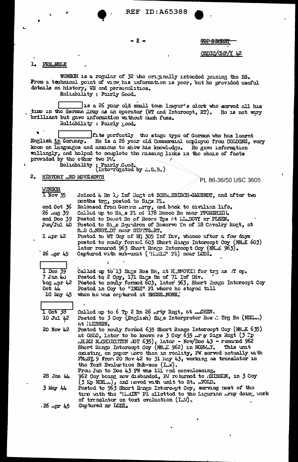**REF ID: A65388** 

#### $-2 -$

# CSDIC/CMF/Y 42

**TOP SECRET** 

#### $\mathbf{1}_{\bullet}$ PRE MBLE

WUNSOH is a regular of 32 who originally intended joining the SS. From a technical point of view his information is poor, but he provided useful dotalls on history, WE and personalities. Rollability : Fairly Good.

 $\perp$ is a 26 yoar old small town lawyor's clork who scrved all his time in the German Army as an operator (WT and Intercept, RT). Ho is not vory brilliant but gave information without much fuss. Roliability : Fairly good.

 $\bullet$ If ts perfectly the stage type of German who has learnt He is a 28 year old Commercial employee from COLOGNE, very English in Gormany. keen on languages and anzious to show his knowledge. He gave information willingly, and holpod to complete the russing links in the chain of facts provided by the other two PM.

: Fairly Good.<br>(Interrogated by A.G.B.) Roliability

 $2.$ HISTORY .. ND MOVE ENTS

PL 86-36/50 USC 3605

| <b>MUNDULI</b>                  |                                                                   |
|---------------------------------|-------------------------------------------------------------------|
| $\overline{1 \text{ Nov } } 35$ | Joined 4 Bn 1, Inf Rogt at SCHW_EBISCH-GMUENDT, and after two     |
|                                 | months trg, posted to Sigs Pl.                                    |
| ond Oct 36                      | Roloased from Gorman Arty, and back to civilian life.             |
| 26 <sub>n</sub> ug 39           | Called up to S1.s Pl of 178 Recce Bn near PFORZHEIM.              |
| ond Doo 39                      | Posted to Dopot Bn of Recee Tps at MuDOW nr PLSEN.                |
| $J$ un $/J$ ul 40               | Posted to S1,s Squadron of Reserve Pn of 18 Cevalry Regt, at      |
|                                 | B.D C.MNST.DT noar STUTTG.RT.                                     |
| $1$ apr 42                      | Postod to WT Coy of HQ 305 Inf Div, whence after a fow days       |
|                                 | posted to nowly formed 603 Short Rango Intorcopt Coy (NN.K 603)   |
|                                 |                                                                   |
|                                 | lator ronared 963 Short Range Intercopt Coy (NN.K 963).           |
| $26 \sqrt{2}$                   | Captured with sub-unit ('HALL" P1) near LODI.                     |
|                                 |                                                                   |
| $1$ Doc $39$                    | Callod up to 13 Sigs Res Bn, at H.NNOVIR for try as T op.         |
| $7$ Jan $4\omega$               | Postod to 2 Coy, 171 Sıçs Bn of 71 Inf Div.                       |
| $\log$ apr 42                   | Postod to nowly formed 603, later 963, Short Range Intercept Coy  |
| $0$ ct $44$                     | Postod in Coy to "INGE" Pl whore he stayed till                   |
| 10 Kgy 45                       | whon ho was ceptured at BRESS.NONE.                               |
|                                 |                                                                   |
|                                 |                                                                   |
| $1$ Oct $38$                    | Called up to 6 Tp 2 Bn 26 .rty Regt, at CHEN.                     |
| 10 Jul 42                       | Postod to 3 Coy (English) Sigs Interpretor Res & Trg Bn (NDE)     |
|                                 | at ILISSEN.                                                       |
| 20 Nov 42                       | Posted to novily formed 635 Short Range Intercept Coy (NM.K 635)  |
|                                 | at OSIO, lator to be known as 3 Coy 635 Ar y Sigs Rogt (3 Mp      |
|                                 | ALLE NACHRICHTEN AGT 635), lator - Nov/Doc 43 - ronanod 962       |
|                                 | Short Rango Intercopt Coy (NM.K 962) in NORWAY.<br>This unit      |
|                                 | oxisting, on paper nore than in reality, PW served actually with  |
|                                 | FNAST 9 from 20 Nov 42 to 31 may 43, working as translator in     |
|                                 | the Toxt Evalue tion Sub-see (I.W).                               |
|                                 | Frou Jun to Doc 43 PW was ill and convaloscing.                   |
| $28$ Jan $44$                   | 962 Coy boing now disbanded, PM roturned to IEISSEN, in 3 Coy     |
|                                 | (3 Kp NDEL), and noved with unit to St.  VOLD.                    |
| $3$ May 44                      | Postod to 963 Short Renge Intercept Coy, serving most of the      |
|                                 | tino with the "HeRIE" Pl allotted to the Ligurian Army doing work |
|                                 | of trenslator on toxt ovaluation (LN).                            |
|                                 |                                                                   |
| $.26$ $\cdot$ pr 45             | Captured nr LCDI.                                                 |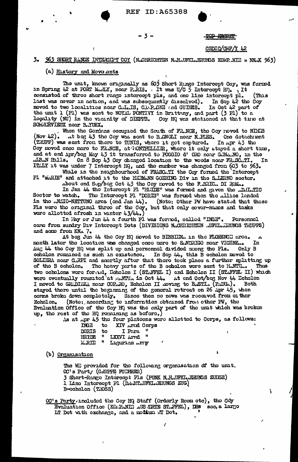#### -3-

# OP SECRET

#### $CSDIC/OMF/Y$  42

#### $963$  SHORT RANGE INTERCLPT COY (N.CHRICHTEN N.H. UFTIL ERUNGS KOMP NIL = NNOK 963) 3.

## (a) History and Move onts

The unit, known originally as 603 Short Ringe Intercept Coy, was formed in Spring 42 at PORT MudlY, near P.RIS. It was U/G 5 Intercopt HO., It consisted of three short range intercept pls, and one line intercept pl. (This last was never in action, and was subsequently dissolved). In Sop 42 the Coy In Oct 42 part of moved to two localities near C.L.IS, C.M.P.CNE and GUILES. the unit 1 (P1) was sont to NOYAL PONTIVY in Brittany, and part (3 P1) to a locality (NU) in the vicinity of DIEPPE. Coy HQ was stationed at that time at SOMMIRVIEUX noar B.YUEX.

, Whon the Germans ecoupled the South of FR.NCE, the Coy neved to NIES (Nov 42). It beg 43 the Coy was sent to B.GNOLI near N.PIES.<br>(TRUPP) was sent from there to TUNIS, where it got captured. At beg 43 the Coy was sent to B.GNOLI near N.PIES. One dotachment In  $npr 43$  the Coy moved once more to FRACE, at TONTPELLING, where it only stayed a short time, and at end Apr/bog May 43 it transformed to POGGIO d' ORO noar GANARO, in the MBAN Hills. On 8 Sop 43 Coy changed location to the woods noar FR.SC.TI. IT ILLY it was under 7 Intercopt HQ, and the murber was changed from 60 Tn

While in the neighbourhood of FRASCLTI the Coy formed the Intercept Pl "MARIE" and attached it to the HERMANN GOERING Div in the S.I.ERNO sector. About ond Sup/bog Oct 43 the Coy moved to the F.BRIC. DI ROM..

In Jan 44 tho Intercopt Pl "HLIDE" was formed and given the .D.IL.TIC The Intercopt Pl "DORIS" was forwed when the Allies landed Soctor to watch. in the ANZIO-NETTUNO area (end Jan 44). (Note: Other PW have stated that the ware the eriginal three of the Coy, but that only cover-names and tasks (Noto: Othor PW have stated that those wore allotted afrosh in winter  $43/44$ .

In lay or Jun 44 a fourth Pl was formed, called "INGE". Porsonnol care from sundry Div Intercept Dets (DIVISIONS N.CHRICHTEN .UFKL. LEUNCS TRUPPS) and some from KNA 7.

At bog Jun 44 the Coy HQ moved to BIBBIEN. In the FLORENCE area. month later the location was changed once more to SMDRIGO near VICENZ... In Aug 44 the Coy HQ was split up and personnel divided mong the Pls. Only B ocholon remained as such in existence. In Sep 44, this B echolon moved to SOLIERA noar G.RPI and snortly after that there took place a further splitting up The heavy parts of the B echolon were sent to H.NTU... of the B echolon. Thus two ocholons wore formed, Echolon I (STAFFEL I) and Echolon II (STAFFEL II) which were eventually rounited at RuNTUA in Oct 44. At end Oct/beg Nov 44 Echolon I moved to GRADIZZA near COP.RO, Echolon II moving to BASTI. (PADUA). Both stayed there until the beginning of the general retreat on 26 Apr 45, when Both corms broke down completely. Since then no nows was recorded from on ther (Note: according to information obtained from other  $FW$ , the **Echclon.** Evaluation Office of the Coy HQ was the only part of the unit which was broken up, the rest of the HQ remaining as before.)

As at .pr 45 the four platoons were allotted to Corps, as follows:

| LNGC        | τо |              | AIV APEXI COPPI |
|-------------|----|--------------|-----------------|
| DORIS       | tο | I Para       |                 |
| HE TIN      | u  | LXXVI Arnd   |                 |
| <b>MRIE</b> | Ħ  | Ligurian rry |                 |

(b) Organisation

The Wil provided for the following organisation of the unit. OC's Party (GRUPPE FULTRER) 3 Short-Rango Intercopt Pls (PUNK N.H.UFKL.ERUNGS ZUEGE) 1 Line Intercept P1 (DAHT UFKL ERUNGS ZUG) B-ocholon (TROSS)

00's Party, included the Coy HQ Staff (Orderly Room otc), the COy Evaluation Office (KO: PANIE AUS ARTE ST. FFEL), DRS soc, a largo IT Dot with exchange, and a modium NT Det.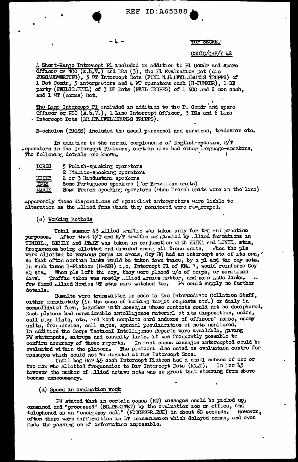#### TOP SECRET

#### CSDIC/CHF/Y 42

A Short-Rango Intercept Pl included in addition to Pl Comdr and spare Officer or NCO (z.b.V.) and IRs (3), the PI Evaluation Dot (dio<br>ZUGSAUSWERTUNG), 3 WT Intercopt Dots (FUNK N.H.UFKI..IRUNGS TRUPPS) of<br>1 Dot Cordr, 3 interpretors and 4 WT operators each (H-FUNKIR), 1 DR<br>party (PEILSTAFFEL and 1 WT (comms) Dot.

The Lane Intercept Pl included in addition to the Pl Comdr and spare Officer or NCO (E.b.V.), 1 Lanc Intercept Officer, 3 DRs and 6 Lanc - Intercept Dots (DR HT.UFKL: RUNGS TRUPPS).

B-cchelon (TROSS) included the usual personnel and services, tradesron etc.

In addition to the normal complements of English-speaking R $\sqrt{T}$ . oporators in the Intercept Platoons, cortein also had other language-speakers. The following dotails are known.

| <u>DORIS</u>  | 5 Polish-spoaking operators                                         |
|---------------|---------------------------------------------------------------------|
|               | 2 Italian-spoaking operators                                        |
| <b>FILIDE</b> | 2 or 3 Hindustani speakers                                          |
| <b>INGE</b>   | Somo Portuguese speakers (for Brazilian units)                      |
| MATE          | Some Fronch spocking operators (when French units were in the line) |

Apparently those dispositions of specialist interpretors were liable to alteration as the allied frms which they monitored were re-grouped.

#### (c) Working hothods

Until summor 43 Aliod traffic was taken only for trg and practice After that W/T and R/T traffic originated by Allied formations in purposos. TUNISL., SICHM and ITALY was taken in conjunction with ERIKA and MONIK. stas, froquencies being allotted and divided arong all these units. When the pls wore allotted to various Corps in areas, Coy HQ had an intercept sta of its own, so that ofton cortain links would be taken down twice, by a pl and the coy sets. In such times H-Platoon (H-ZUG) 1.0. Intercept Pl of KN. 7, would reinforce Coy When pis left the coy, they were placed  $\psi$  of corps, or sometimes HQ sta. Traffic takon was rostly ..lliod Armos mattor, and somo ..LOs links. divs. fow fixed allied Navies WT stas were watched too. PV could supply no furthor dotails.

Rosults wore transmitted in code to the Intermediate Collation Staff, orther importantly (in the case of bending target requests oto.) or daily in consolidated form, together unth messages whose contents could not be deciphered. Each platoon had considerable intelligence raterial at its disposition, codes, call sign lists, otc. and kopt complete card indoxes of officers' names, enomy units, frequencies, call signs, special poculiarities of nots nonitored. In addition the Corps Tactical Intelligence Reports were available, giving PW statements, sitrops and casualty lists, it was frequently possible to In rost cases messages intercepted could be confirm accuracy of those reports. evaluated within the platoen. The platoens also acted as evaluation centre for mossages which could not be decoded at Div Intercept Sees.

Until bog Mar 45 each Intercopt Plateon had a small subsec of one or two men who allotted frequencies to Div Intercept Dets (NN.T). In lur 45 however the number of .11ied actave nots was so great that steering from above bocame unnecessary.

#### (d) Spoed in ovaluation work

ł

Fw stated that in cortain cases (RT) mesages could be picked up, oxemined and "processed" (BELEBLITET) by the evaluation see or office, and tolophonod as an "crorgoncy call" (NOTGESPR.ECH) in about 60 soconds. Howover, ofton thoro woro difficultios in LT cransmission which dolayed comms, and even made the passing on of information impossible.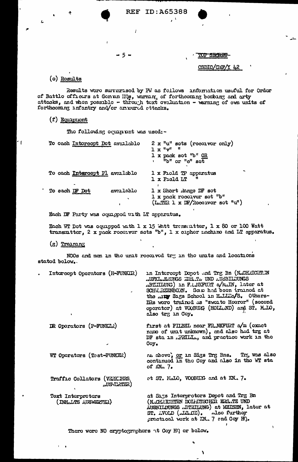ID:A65388 **REF** 

#### - 5 -

I

**SECRET** 

CSDIC/CHF/Y 42

### (o) Rosults

L

 $^{\prime}$  (

Results wore surrerised by PM as follows anformation usuful for Ordor of Battle officers at Genua HQs, warming of forthcoming bombing and arty attacks, and whon possible - through text evaluation - warming of own units of forthooming infantry and/or arround ettacks.

#### (f) Equipment

The following equipment was used: -

| To oach Intorcopt Det available          | $2 \times$ "u" sots (receiver only)<br>$1 \times$ " $v$ " "<br>1 x pack set "b" OR<br>"b" or "c" set |
|------------------------------------------|------------------------------------------------------------------------------------------------------|
| To oach Intercept Pl available           | 1 x Fiold TP apparatus<br>1 x Field LT                                                               |
| To each DF Dot<br>avallablo<br>$\bullet$ | 1 x Short Range DF sot<br>1 x pack receiver set "b"<br>(LATER 1 x DF/Roccivor sot "u")               |

Each DF Party was equipped with LT apparatus.

Each WT Dot was equipped with  $1 \times 15$  whit transmitter,  $1 \times 80$  or 100 Watt transmittor, 2 x pack roconvor sots "b", 1 x ciphor machino and LT apparatus.

 $(g)$  Training

(INHLLTS AUSWERTER)

NGOs and men in the unit received try in the units and locations stated below.

| Intercopt Operators (H-FUNKER)            | in Intercept Depot and Trg Bn (NaCHAICHTIN<br>AUFKLARUNGS ERS.TA UND AUSBILDUNGS<br>ABILILUNG) in F.L.NKFURT a/MAIN, later at<br>SCHM RZENBORN. Some had been trained at<br>the AIR Sigs School in H.I.L.O/S. Others-<br>DRs wore trained as "zweite Hoerer" (second<br>operator) at VOOBURG (HOLLLND) and ST. M.LO,<br>also trg in Coy. |
|-------------------------------------------|------------------------------------------------------------------------------------------------------------------------------------------------------------------------------------------------------------------------------------------------------------------------------------------------------------------------------------------|
| DR Operators (P-FUNKCR)                   | first at FILBEL noar FR.NKFURT a/m (oxact<br>namo of unit unknown), and also had trg at<br>DF sta in .PRILL., and practice work in the<br>$Coy_{\bullet}$                                                                                                                                                                                |
| WT Oporators (Tost-FUNKER)                | as above, or in Sigs Trg Bns. Trg was also<br>continued in the Coy and also in the WT sta<br>of $MN1$ 7.                                                                                                                                                                                                                                 |
| Traffic Collators (VERKIES,<br>LUSYLKTER) | et ST. HALO, VOOBURG and at KN. 7.                                                                                                                                                                                                                                                                                                       |
| <b>Toxt Tntororotors</b>                  | at Sigs Interpretors Depot and Trg Bn                                                                                                                                                                                                                                                                                                    |

(N.CHRICHTEN DOLLITSCHER ERS.TZ UND AUSBILDUNGS .ETEILUNG) at MEISEN, lator at ST. AVOID (ALG.CE). Also furthor practical work at KM. 7 and Coy H).

١

 $\mathbf{I}$ 

There were NO eryptographers at Coy HQ or below.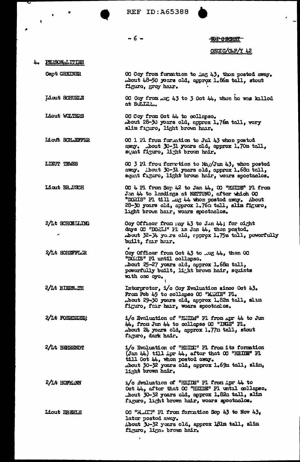**REF ID: A65388** 



#### -6-

#### **TOP SECRET**

#### CSDIC/CLF/Y 42

#### 4. PERSONALITIES

 $\bullet$ 

 $\pmb{\mathsf{t}}$ 

**Capt GREINER** 

OC Coy from formation to Aug 43, then posted away.<br>
mbout 48-50 years old, approx 1.86m tall, stout figuro, groy har.

Liout SCHUELE OC Coy from ..u. 43 to 3 Oct 44, when he was killed at SULLLL.

Liout WOLTERS OC Coy from Oct 44 to collapse. .bout 28-30 yours old, approx 1.76m tall, vory slim figuro, light brown hair.

Liout SCHAEFFER OC 1 Pl from formation to Jul 43 whon posted away. About 30-31 years old, approx 1.70m tall, squat figuro, light brown hair.

LIEUT TEMES OC 3 Pl from form tion to Maj/Jun 43, when posted away. Thout 30-31 years old, approx 1.68m tall, squat figuro, light brown hair, wears spectacles.

OC 4 Pl from Sop 42 to Jan  $44$ , OC "HEIDE" Pl from<br>Jan  $44$  to landings at NETTUNO, after which OC Liout BR.USCH "DORIS" P1 till .ug 44 whon postod away. About 28-30 yours old, approx 1.76m tall, slim figure, light brown hair, wears spectacles.

2/Lt SCHOELLING Coy Officor from may 43 to Jun 44; for cight days OC "DORIS" Pl in Jan 44, then postod. about 32-34 years old, epprox 1.75m tall, powerfully built, fair hair.

Coy Officer from Oct 43 to .ug 44, then OC 2/Lt SCHEFFLER "DOLLS" Pl until collapso. .bout 25-27 yoars old, approx 1.68m tall, powerfully built, light brown hair, squints with one oyo.

Interpreter, i/c Coy Evaluation since Oct 43. 2/Lt BIERNLIH From Feb 45 to collapse OC "MANIE" Pl. bout 29-30 years old, approx 1.82m tall, slim. figuro, fair hair, woars spoctaalos.

i/c Evaluation of "HilDs" Pl from Apr 44 to Jun 2/Lt FOERDEREN 44, from Jun 44 to collapse OC "INGE" Pl. about 24 yoars old, approx 1.77n tall, stout figuro, dark hair.

2/Lt BERENDT i/c Evaluation of "HUIDE" Pl from its formation  $($ Jan 44) till  $\Delta$ pr 44, after that  $\infty$  "HEIDE" Pl till Oct 44, when posted away. about 30-32 yours old, approx 1.69m tall, slin, light brown hair.

1/c Evaluation of "HEIDE" Pl from Apr 44 to 2/Lt HOFLUNN Oct 44, after that OC "HEIDE" Pl until collapso. .bout 30-32 years old, approx 1.82m tall, slim figuro, light brown hair, woars spootaclos.

OC "HULT" Pl from formation Sop 43 to Nov 43, Liout LEBERLE lator postod away. About 30-32 years old, approx 181m tall, slim figuro, lign. brown hair.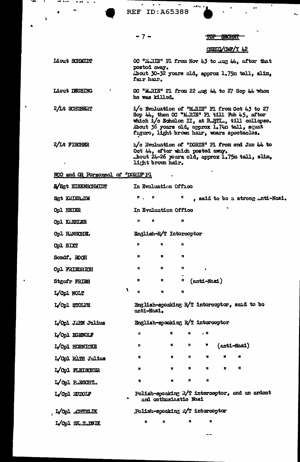$\epsilon = 4$ **REF ID: A65388** 

 $\blacksquare$ 

#### $-7-$

#### **TOP** SECRET

### CSDIC/CMF/Y 42

Liout SCHMIDT OC "LLRIE" Pl from Nov 43 to mug 44, after that postod away. ibout 30-32 yoars old, approx 1.75m tall, slim, fair hair.

Liout DEUSING OC "MARIE" F1 from 22 Aug 44 to 27 Sop 44 whon ho was killod.

2/Lt SCHUBERT i/c Evaluation of "M.RIE" Pl from Oct 43 to 27 Sop 44, then OC "MARIE" PI till Fob 45, after<br>which i/o Echolon II, at BASTI.., till collapse.<br>About 36 years old, approx 1.74n tall, squat<br>figure, light brown hair, wears spectacles.

2/Lt FISCHER 1/c Evaluation of "DORIS" Pl from end Jan 44 to Oct 44, after which posted away.<br>.bout 24-26 yours old, approx 1.75m tall, slim,<br>light brown hair.

 $\tilde{\mathbf{r}}$ 

#### NCO and OR Porsonnol of "DORIS" Pl

 $\mathbf{r}$ 

| <b>Syst EISENSCHAIDT</b> |                         |              | In Evaluation Offico    |    |    |                                                |   |              |  |
|--------------------------|-------------------------|--------------|-------------------------|----|----|------------------------------------------------|---|--------------|--|
| <b>Sgt KRIEBJIM</b>      |                         | ₩.           | Ħ                       | Ħ  |    | , said to bo a strong inti-Nazi.               |   |              |  |
| Opl HEIER                |                         |              | In Evaluation Office    |    |    |                                                |   |              |  |
| <b>Opl KATHLER</b>       |                         | Ħ            | n                       | u  |    |                                                |   |              |  |
| <b>Cp1 HANSCHEL</b>      |                         |              | English-R/T Intorcoptor |    |    |                                                |   |              |  |
| <b>Cpl SIXT</b>          |                         | $\mathbf{u}$ | W                       | n  |    |                                                |   |              |  |
| <b>Sondf. ROCH</b>       |                         | Ħ.           | n                       | Ħ  |    |                                                |   |              |  |
| <b>Cpl FRIEDRICH</b>     |                         | Ħ            | Ħ                       | n  |    | $\bullet$                                      |   |              |  |
| <b>Stgofr FRIES</b>      |                         | n            | u                       | ₩  |    | (anti-Nazi)                                    |   |              |  |
| L/Cpl NOLT               | $\overline{\mathbf{X}}$ | Ħ            | W.                      | n  |    |                                                |   |              |  |
| L/Cpl STOLPE             |                         | anti-Nazi.   |                         |    |    | English-spoaking R/T intorcoptor, said to bo   |   |              |  |
| L/Opl JAHN Julius        |                         |              |                         |    |    | English-spooking R/T intercoptor               |   |              |  |
| L/Opl EGENOLF            |                         | n            |                         | 11 | n  | . п                                            |   |              |  |
| L/Cpl HOENICKE           |                         | Ħ.           |                         | 8  | H. | n                                              |   | (anti-Nazi)  |  |
| L/Cpl RATH Julius        |                         | Ħ            |                         | W. | п. |                                                | u | u            |  |
| L/Opl FLEISCHER          |                         | n            |                         | W  | n  | Ħ                                              | Ħ | $\mathbf{u}$ |  |
| L/Op1 P.ESCHT.           |                         | Ħ            |                         | W  | n  | $\pmb{\mathsf{N}}$                             |   |              |  |
| L/Opl RUDOLF             |                         |              | and onthusiastic Nazi   |    |    | Polish-spoaking R/T interceptor, and an ardent |   |              |  |
| L/Opl LCHTELIK           |                         |              |                         |    |    | Polish-spoaking n/T intercopter                |   |              |  |
| L/Opl SK.T.DNIK          |                         | Ħ            | u                       |    | n  | n                                              |   |              |  |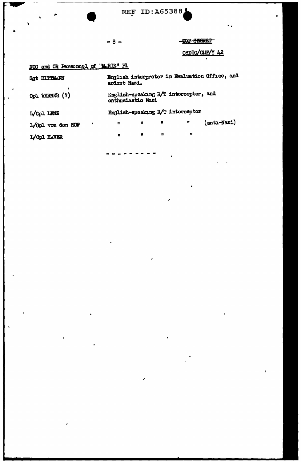| <b>REF ID:A65388.</b> |  |  |  |  |
|-----------------------|--|--|--|--|
|                       |  |  |  |  |

 $-8 -$ 

-TOP SHORES

# CSDIC/CHF/Y 42

# NOO and OR Personnel of "M.RIE" Pl

| SRt DITTMANN           | ardont Nazi.      |    |              |                                       | English interpreter in Evaluation Office, and |
|------------------------|-------------------|----|--------------|---------------------------------------|-----------------------------------------------|
| Cpl WERNER (?)         | onthusiastic Nazi |    |              | English-speaking R/T intorcoptor, and |                                               |
| L/Opl LENZ             |                   |    |              | English-speaking R/T interceptor      |                                               |
| ,<br>L/Opl von den HOF | n                 | 11 | $\mathbf{u}$ | W                                     | (antı-Nazi)                                   |
| L/Opl HAVER            | n                 | n  | n            | 11                                    |                                               |